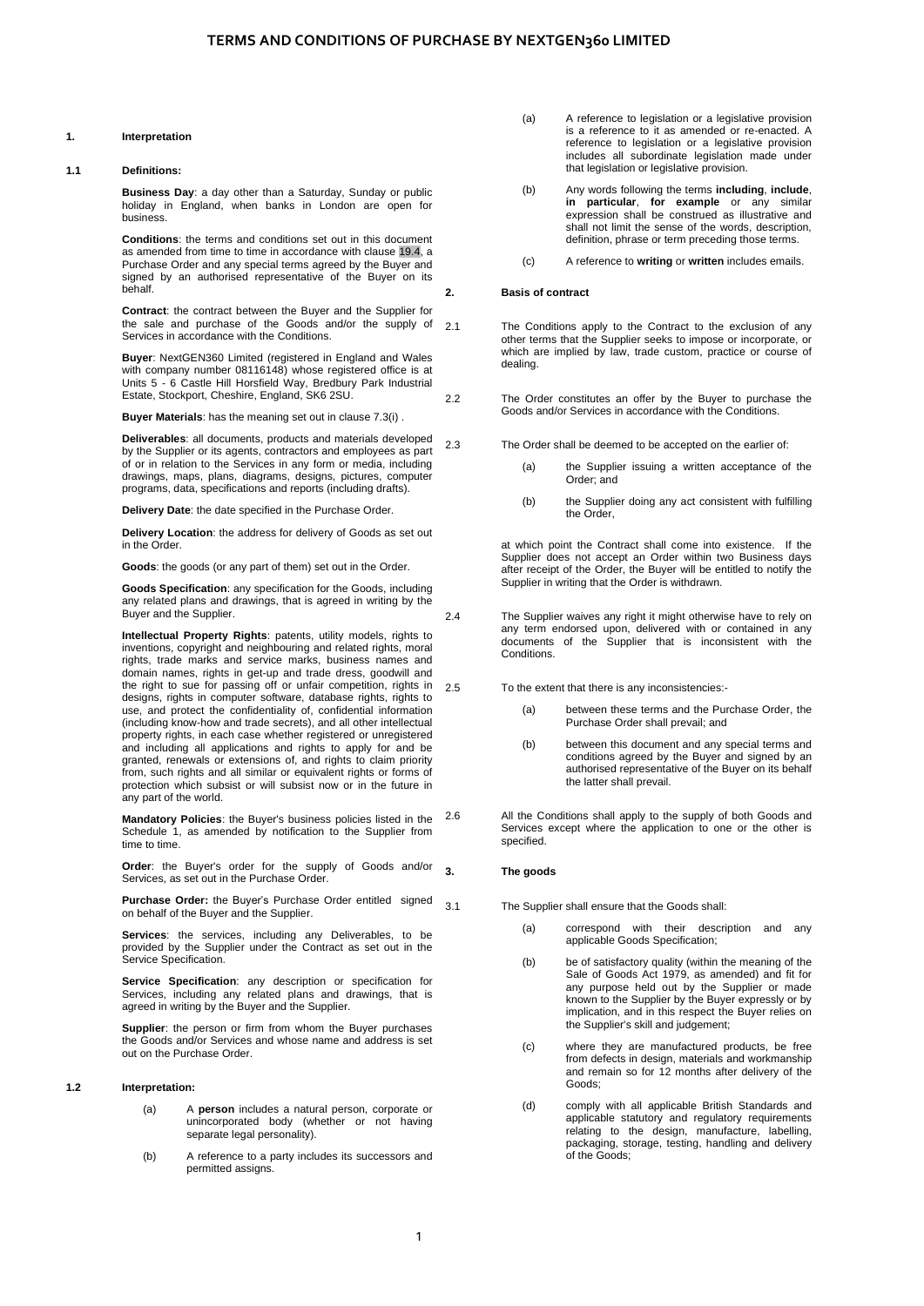## **1. Interpretation**

#### **1.1 Definitions:**

**Business Day**: a day other than a Saturday, Sunday or public holiday in England, when banks in London are open for business.

**Conditions**: the terms and conditions set out in this document as amended from time to time in accordance with [clause 19.4,](#page-6-0) a Purchase Order and any special terms agreed by the Buyer and signed by an authorised representative of the Buyer on its behalf.

**Contract**: the contract between the Buyer and the Supplier for the sale and purchase of the Goods and/or the supply of Services in accordance with the Conditions.

**Buyer**: NextGEN360 Limited (registered in England and Wales with company number 08116148) whose registered office is at Units 5 - 6 Castle Hill Horsfield Way, Bredbury Park Industrial Estate, Stockport, Cheshire, England, SK6 2SU.

**Buyer Materials**: has the meaning set out in clause [7.3\(i\)](#page-2-0) .

**Deliverables**: all documents, products and materials developed by the Supplier or its agents, contractors and employees as part of or in relation to the Services in any form or media, including drawings, maps, plans, diagrams, designs, pictures, computer programs, data, specifications and reports (including drafts).

**Delivery Date**: the date specified in the Purchase Order.

**Delivery Location**: the address for delivery of Goods as set out in the Order.

**Goods**: the goods (or any part of them) set out in the Order.

**Goods Specification**: any specification for the Goods, including any related plans and drawings, that is agreed in writing by the Buyer and the Supplier.

**Intellectual Property Rights**: patents, utility models, rights to inventions, copyright and neighbouring and related rights, moral rights, trade marks and service marks, business names and domain names, rights in get-up and trade dress, goodwill and the right to sue for passing off or unfair competition, rights in designs, rights in computer software, database rights, rights to use, and protect the confidentiality of, confidential information (including know-how and trade secrets), and all other intellectual property rights, in each case whether registered or unregistered and including all applications and rights to apply for and be granted, renewals or extensions of, and rights to claim priority from, such rights and all similar or equivalent rights or forms of protection which subsist or will subsist now or in the future in any part of the world.

**Mandatory Policies**: the Buyer's business policies listed in the [Schedule 1,](#page-7-0) as amended by notification to the Supplier from time to time.

**Order**: the Buyer's order for the supply of Goods and/or Services, as set out in the Purchase Order.

**Purchase Order:** the Buyer's Purchase Order entitled signed on behalf of the Buyer and the Supplier.

**Services**: the services, including any Deliverables, to be provided by the Supplier under the Contract as set out in the Service Specification.

**Service Specification**: any description or specification for Services, including any related plans and drawings, that is agreed in writing by the Buyer and the Supplier.

**Supplier**: the person or firm from whom the Buyer purchases the Goods and/or Services and whose name and address is set out on the Purchase Order.

#### **1.2 Interpretation:**

- (a) A **person** includes a natural person, corporate or unincorporated body (whether or not having separate legal personality).
- (b) A reference to a party includes its successors and permitted assigns.
- (a) A reference to legislation or a legislative provision is a reference to it as amended or re-enacted. A reference to legislation or a legislative provision includes all subordinate legislation made under that legislation or legislative provision.
- (b) Any words following the terms **including**, **include**, **in particular**, **for example** or any similar expression shall be construed as illustrative and shall not limit the sense of the words, description, definition, phrase or term preceding those terms.
- (c) A reference to **writing** or **written** includes emails.

#### **2. Basis of contract**

2.1 The Conditions apply to the Contract to the exclusion of any other terms that the Supplier seeks to impose or incorporate, or which are implied by law, trade custom, practice or course of dealing.

2.2 The Order constitutes an offer by the Buyer to purchase the Goods and/or Services in accordance with the Conditions.

2.3 The Order shall be deemed to be accepted on the earlier of:

- (a) the Supplier issuing a written acceptance of the Order; and
- (b) the Supplier doing any act consistent with fulfilling the Order,

at which point the Contract shall come into existence. If the Supplier does not accept an Order within two Business days after receipt of the Order, the Buyer will be entitled to notify the Supplier in writing that the Order is withdrawn.

<span id="page-0-1"></span>2.4 The Supplier waives any right it might otherwise have to rely on any term endorsed upon, delivered with or contained in any documents of the Supplier that is inconsistent with the Conditions.

2.5 To the extent that there is any inconsistencies:-

- (a) between these terms and the Purchase Order, the Purchase Order shall prevail; and
- (b) between this document and any special terms and conditions agreed by the Buyer and signed by an authorised representative of the Buyer on its behalf the latter shall prevail.

2.6 All the Conditions shall apply to the supply of both Goods and Services except where the application to one or the other is specified.

# **3. The goods**

<span id="page-0-0"></span>3.1 The Supplier shall ensure that the Goods shall:

- (a) correspond with their description and any applicable Goods Specification;
- (b) be of satisfactory quality (within the meaning of the Sale of Goods Act 1979, as amended) and fit for any purpose held out by the Supplier or made known to the Supplier by the Buyer expressly or by implication, and in this respect the Buyer relies on the Supplier's skill and judgement;
- (c) where they are manufactured products, be free from defects in design, materials and workmanship and remain so for 12 months after delivery of the Goods;
- (d) comply with all applicable British Standards and applicable statutory and regulatory requirements relating to the design, manufacture, labelling, packaging, storage, testing, handling and delivery of the Goods;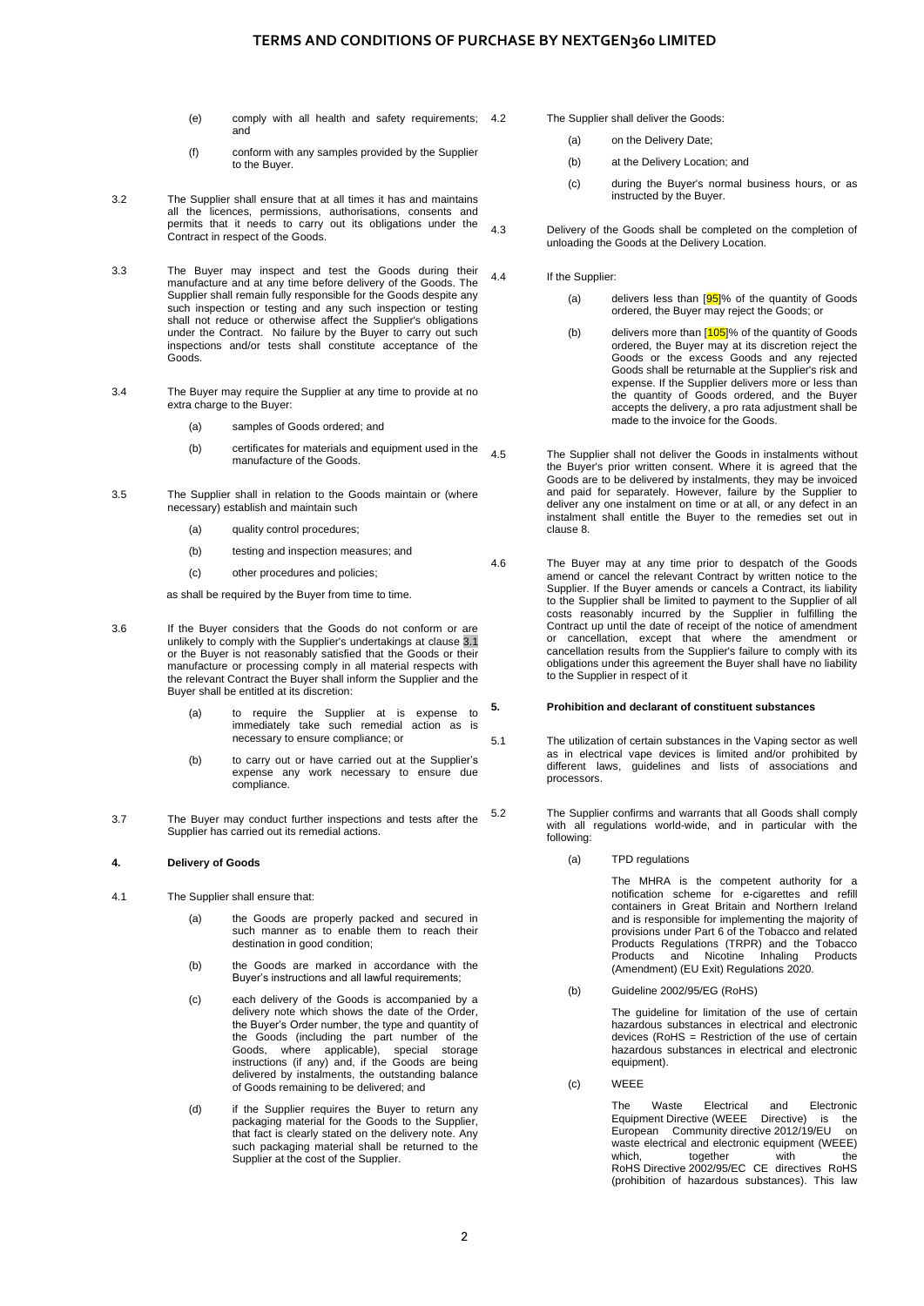# **TERMS AND CONDITIONS OF PURCHASE BY NEXTGEN360 LIMITED**

- (e) comply with all health and safety requirements; and
- (f) conform with any samples provided by the Supplier to the Buyer.
- 3.2 The Supplier shall ensure that at all times it has and maintains all the licences, permissions, authorisations, consents and permits that it needs to carry out its obligations under the Contract in respect of the Goods.
- 3.3 The Buyer may inspect and test the Goods during their manufacture and at any time before delivery of the Goods. The Supplier shall remain fully responsible for the Goods despite any such inspection or testing and any such inspection or testing shall not reduce or otherwise affect the Supplier's obligations under the Contract. No failure by the Buyer to carry out such inspections and/or tests shall constitute acceptance of the Goods.
- 3.4 The Buyer may require the Supplier at any time to provide at no extra charge to the Buyer:
	- (a) samples of Goods ordered; and
	- (b) certificates for materials and equipment used in the manufacture of the Goods.
- 3.5 The Supplier shall in relation to the Goods maintain or (where necessary) establish and maintain such
	- (a) quality control procedures;
	- (b) testing and inspection measures; and
	- (c) other procedures and policies;

as shall be required by the Buyer from time to time.

- 3.6 If the Buyer considers that the Goods do not conform or are unlikely to comply with the Supplier's undertakings at [clause 3.1](#page-0-0) or the Buyer is not reasonably satisfied that the Goods or their manufacture or processing comply in all material respects with the relevant Contract the Buyer shall inform the Supplier and the Buyer shall be entitled at its discretion:
	- (a) to require the Supplier at is expense to immediately take such remedial action as is necessary to ensure compliance; or
	- (b) to carry out or have carried out at the Supplier's expense any work necessary to ensure due compliance.
- 3.7 The Buyer may conduct further inspections and tests after the Supplier has carried out its remedial actions.

## **4. Delivery of Goods**

- 4.1 The Supplier shall ensure that:
	- (a) the Goods are properly packed and secured in such manner as to enable them to reach their destination in good condition;
	- (b) the Goods are marked in accordance with the Buyer's instructions and all lawful requirements;
	- (c) each delivery of the Goods is accompanied by a delivery note which shows the date of the Order, the Buyer's Order number, the type and quantity of the Goods (including the part number of the Goods, where applicable), special storage instructions (if any) and, if the Goods are being delivered by instalments, the outstanding balance of Goods remaining to be delivered; and
	- (d) if the Supplier requires the Buyer to return any packaging material for the Goods to the Supplier, that fact is clearly stated on the delivery note. Any such packaging material shall be returned to the Supplier at the cost of the Supplier.

The Supplier shall deliver the Goods:

- (a) on the Delivery Date;
- (b) at the Delivery Location; and
- (c) during the Buyer's normal business hours, or as instructed by the Buyer.
- 4.3 Delivery of the Goods shall be completed on the completion of unloading the Goods at the Delivery Location.

# 4.4 If the Supplier:

- (a) delivers less than  $[95]$ % of the quantity of Goods ordered, the Buyer may reject the Goods; or
- (b) delivers more than  $[105]$ % of the quantity of Goods ordered, the Buyer may at its discretion reject the Goods or the excess Goods and any rejected Goods shall be returnable at the Supplier's risk and expense. If the Supplier delivers more or less than the quantity of Goods ordered, and the Buyer accepts the delivery, a pro rata adjustment shall be made to the invoice for the Goods.

4.5 The Supplier shall not deliver the Goods in instalments without the Buyer's prior written consent. Where it is agreed that the Goods are to be delivered by instalments, they may be invoiced and paid for separately. However, failure by the Supplier to deliver any one instalment on time or at all, or any defect in an instalment shall entitle the Buyer to the remedies set out in claus[e 8.](#page-2-1)

4.6 The Buyer may at any time prior to despatch of the Goods amend or cancel the relevant Contract by written notice to the Supplier. If the Buyer amends or cancels a Contract, its liability to the Supplier shall be limited to payment to the Supplier of all costs reasonably incurred by the Supplier in fulfilling the Contract up until the date of receipt of the notice of amendment or cancellation, except that where the amendment or cancellation results from the Supplier's failure to comply with its obligations under this agreement the Buyer shall have no liability to the Supplier in respect of it

## <span id="page-1-0"></span>**5. Prohibition and declarant of constituent substances**

5.1 The utilization of certain substances in the Vaping sector as well as in electrical vape devices is limited and/or prohibited by different laws, guidelines and lists of associations and processors.

5.2 The Supplier confirms and warrants that all Goods shall comply with all regulations world-wide, and in particular with the following:

(a) TPD regulations

The MHRA is the competent authority for a notification scheme for e-cigarettes and refill containers in Great Britain and Northern Ireland and is responsible for implementing the majority of provisions under Part 6 of the Tobacco and related Products Regulations (TRPR) and the Tobacco Products and Nicotine Inhaling Products (Amendment) (EU Exit) Regulations 2020.

(b) Guideline 2002/95/EG (RoHS)

The quideline for limitation of the use of certain hazardous substances in electrical and electronic devices (RoHS = Restriction of the use of certain hazardous substances in electrical and electronic equipment).

(c) WEEE

The Waste Electrical and Electronic Equipment Directive (WEEE Directive) is the European Community directive 2012/19/EU on waste electrical and electronic equipment (WEEE) which, together with the RoHS Directive 2002/95/EC CE directives RoHS (prohibition of hazardous substances). This law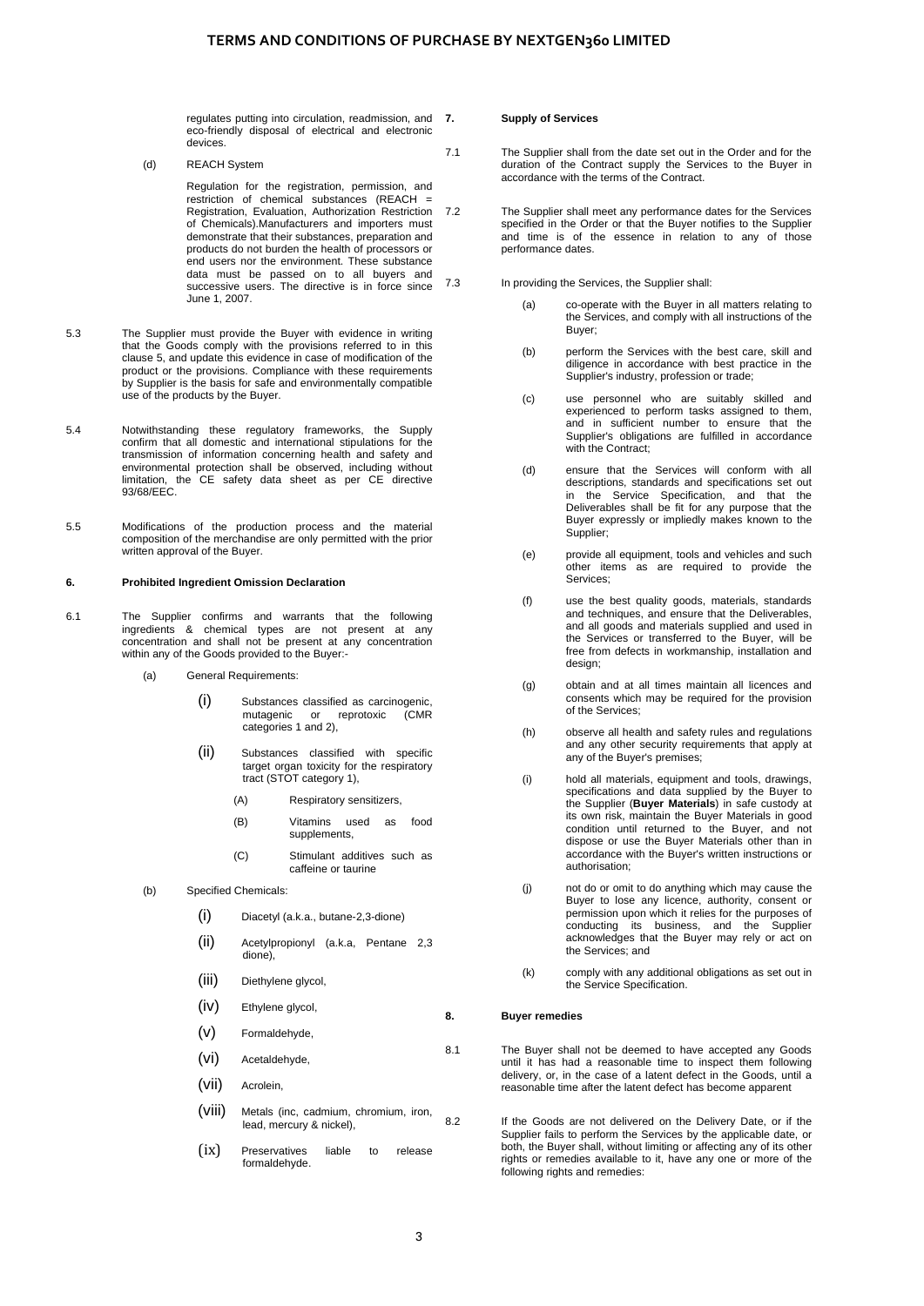regulates putting into circulation, readmission, and eco-friendly disposal of electrical and electronic devices.

(d) REACH System

Regulation for the registration, permission, and restriction of chemical substances (REACH = Registration, Evaluation, Authorization Restriction of Chemicals).Manufacturers and importers must demonstrate that their substances, preparation and products do not burden the health of processors or end users nor the environment. These substance data must be passed on to all buyers and successive users. The directive is in force since June 1, 2007.

- 5.3 The Supplier must provide the Buyer with evidence in writing that the Goods comply with the provisions referred to in this clause [5,](#page-1-0) and update this evidence in case of modification of the product or the provisions. Compliance with these requirements by Supplier is the basis for safe and environmentally compatible use of the products by the Buyer.
- 5.4 Notwithstanding these regulatory frameworks, the Supply confirm that all domestic and international stipulations for the transmission of information concerning health and safety and environmental protection shall be observed, including without limitation, the CE safety data sheet as per CE directive 93/68/EEC.
- 5.5 Modifications of the production process and the material composition of the merchandise are only permitted with the prior written approval of the Buyer.

#### <span id="page-2-2"></span>**6. Prohibited Ingredient Omission Declaration**

- 6.1 The Supplier confirms and warrants that the following ingredients & chemical types are not present at any concentration and shall not be present at any concentration within any of the Goods provided to the Buyer:-
	- (a) General Requirements:
		- (i) Substances classified as carcinogenic,<br>mutagenic or reprotoxic (CMR mutagenic or reprotoxic categories 1 and 2),
		- (ii) Substances classified with specific target organ toxicity for the respiratory tract (STOT category 1),
			- (A) Respiratory sensitizers,
			- (B) Vitamins used as food supplements,
			- (C) Stimulant additives such as caffeine or taurine
	- (b) Specified Chemicals:
		- (i) Diacetyl (a.k.a., butane-2,3-dione)
		- (ii) Acetylpropionyl (a.k.a, Pentane 2,3 dione),
		- (iii) Diethylene glycol
		- (iv) Ethylene glycol,
		- (v) Formaldehyde,
		- (vi) Acetaldehyde,
		- (vii) Acrolein,
		- (viii) Metals (inc, cadmium, chromium, iron, lead, mercury & nickel),
		- (ix) Preservatives liable to release formaldehyde.

## **7. Supply of Services**

7.1 The Supplier shall from the date set out in the Order and for the duration of the Contract supply the Services to the Buyer in accordance with the terms of the Contract.

7.2 The Supplier shall meet any performance dates for the Services specified in the Order or that the Buyer notifies to the Supplier and time is of the essence in relation to any of those performance dates.

- <span id="page-2-3"></span>7.3 In providing the Services, the Supplier shall:
	- (a) co-operate with the Buyer in all matters relating to the Services, and comply with all instructions of the Buyer;
	- (b) perform the Services with the best care, skill and diligence in accordance with best practice in the Supplier's industry, profession or trade;
	- (c) use personnel who are suitably skilled and experienced to perform tasks assigned to them, and in sufficient number to ensure that the Supplier's obligations are fulfilled in accordance with the Contract:
	- (d) ensure that the Services will conform with all descriptions, standards and specifications set out in the Service Specification, and that the Deliverables shall be fit for any purpose that the Buyer expressly or impliedly makes known to the Supplier:
	- (e) provide all equipment, tools and vehicles and such other items as are required to provide the Services;
	- (f) use the best quality goods, materials, standards and techniques, and ensure that the Deliverables, and all goods and materials supplied and used in the Services or transferred to the Buyer, will be free from defects in workmanship, installation and design;
	- (g) obtain and at all times maintain all licences and consents which may be required for the provision of the Services;
	- (h) observe all health and safety rules and regulations and any other security requirements that apply at any of the Buyer's premises;
	- (i) hold all materials, equipment and tools, drawings, specifications and data supplied by the Buyer to the Supplier (**Buyer Materials**) in safe custody at its own risk, maintain the Buyer Materials in good condition until returned to the Buyer, and not dispose or use the Buyer Materials other than in accordance with the Buyer's written instructions or authorisation;
	- (j) not do or omit to do anything which may cause the Buyer to lose any licence, authority, consent or permission upon which it relies for the purposes of conducting its business, and the Supplier acknowledges that the Buyer may rely or act on the Services; and
	- (k) comply with any additional obligations as set out in the Service Specification.

## <span id="page-2-1"></span><span id="page-2-0"></span>**8. Buyer remedies**

8.1 The Buyer shall not be deemed to have accepted any Goods until it has had a reasonable time to inspect them following delivery, or, in the case of a latent defect in the Goods, until a reasonable time after the latent defect has become apparent

8.2 If the Goods are not delivered on the Delivery Date, or if the Supplier fails to perform the Services by the applicable date, or both, the Buyer shall, without limiting or affecting any of its other rights or remedies available to it, have any one or more of the following rights and remedies: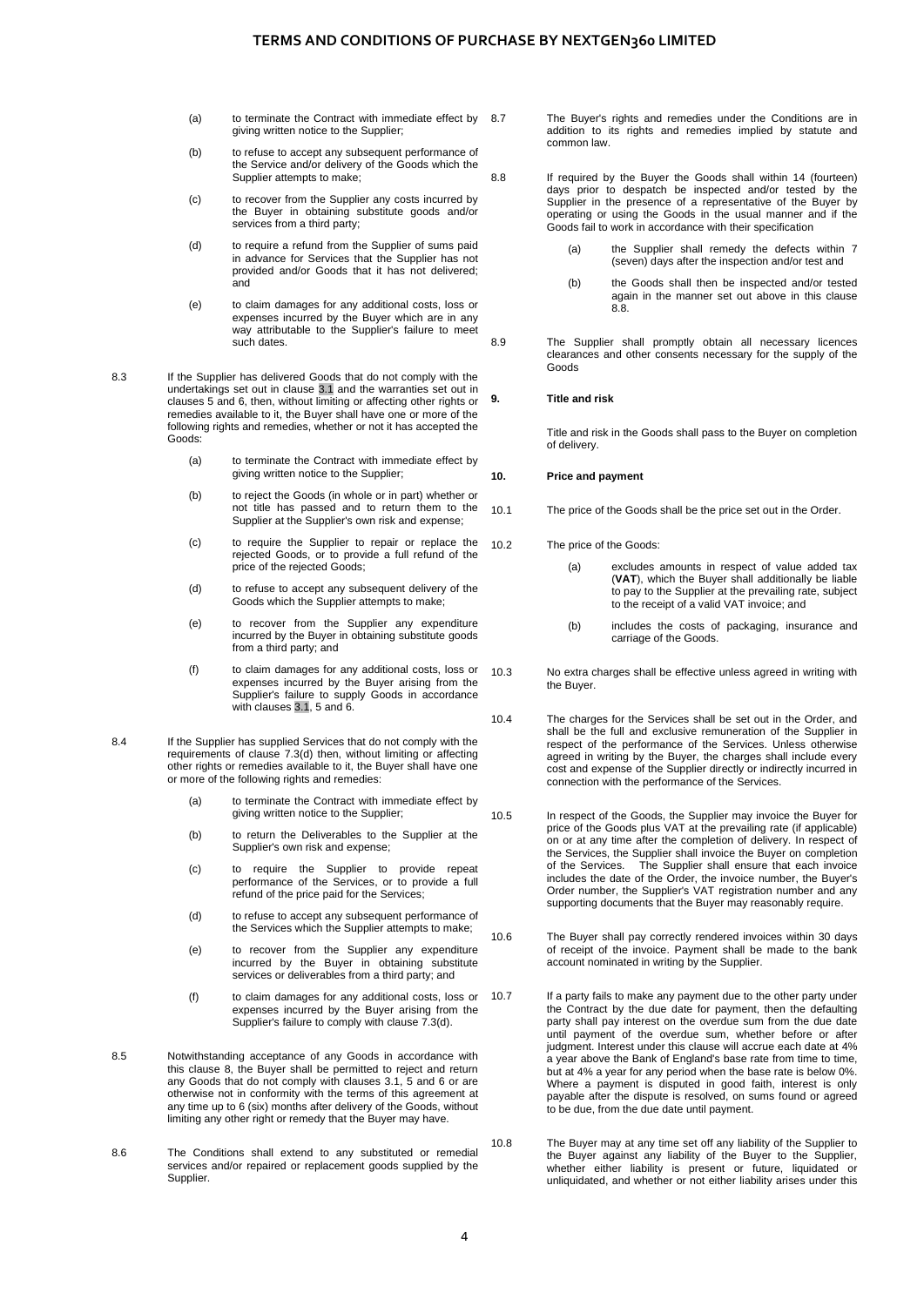- (a) to terminate the Contract with immediate effect by 8.7 giving written notice to the Supplier;
- (b) to refuse to accept any subsequent performance of the Service and/or delivery of the Goods which the Supplier attempts to make;
- (c) to recover from the Supplier any costs incurred by the Buyer in obtaining substitute goods and/or services from a third party;
- (d) to require a refund from the Supplier of sums paid in advance for Services that the Supplier has not provided and/or Goods that it has not delivered; and
- (e) to claim damages for any additional costs, loss or expenses incurred by the Buyer which are in any way attributable to the Supplier's failure to meet such dates.

8.3 If the Supplier has delivered Goods that do not comply with the undertakings set out in [clause 3.1](#page-0-0) and the warranties set out in clauses [5](#page-1-0) and [6,](#page-2-2) then, without limiting or affecting other rights or remedies available to it, the Buyer shall have one or more of the following rights and remedies, whether or not it has accepted the Goods:

- (a) to terminate the Contract with immediate effect by giving written notice to the Supplier;
- (b) to reject the Goods (in whole or in part) whether or not title has passed and to return them to the Supplier at the Supplier's own risk and expense;
- (c) to require the Supplier to repair or replace the rejected Goods, or to provide a full refund of the price of the rejected Goods;
- (d) to refuse to accept any subsequent delivery of the Goods which the Supplier attempts to make;
- (e) to recover from the Supplier any expenditure incurred by the Buyer in obtaining substitute goods from a third party; and
- (f) to claim damages for any additional costs, loss or expenses incurred by the Buyer arising from the Supplier's failure to supply Goods in accordance with clauses [3.1,](#page-0-0) [5](#page-1-0) and [6.](#page-2-2)
- 8.4 If the Supplier has supplied Services that do not comply with the requirements of clause [7.3\(d\)](#page-2-3) then, without limiting or affecting other rights or remedies available to it, the Buyer shall have one or more of the following rights and remedies:
	- (a) to terminate the Contract with immediate effect by giving written notice to the Supplier;
	- (b) to return the Deliverables to the Supplier at the Supplier's own risk and expense;
	- (c) to require the Supplier to provide repeat performance of the Services, or to provide a full refund of the price paid for the Services;
	- (d) to refuse to accept any subsequent performance of the Services which the Supplier attempts to make;
	- (e) to recover from the Supplier any expenditure incurred by the Buyer in obtaining substitute services or deliverables from a third party; and
	- (f) to claim damages for any additional costs, loss or expenses incurred by the Buyer arising from the Supplier's failure to comply with claus[e 7.3\(d\).](#page-2-3)
- 8.5 Notwithstanding acceptance of any Goods in accordance with this clause [8,](#page-2-1) the Buyer shall be permitted to reject and return any Goods that do not comply with clauses [3.1,](#page-0-0) [5](#page-1-0) and [6](#page-2-2) or are otherwise not in conformity with the terms of this agreement at any time up to 6 (six) months after delivery of the Goods, without limiting any other right or remedy that the Buyer may have.
- 8.6 The Conditions shall extend to any substituted or remedial services and/or repaired or replacement goods supplied by the Supplier.

The Buyer's rights and remedies under the Conditions are in addition to its rights and remedies implied by statute and common law.

<span id="page-3-0"></span>8.8 If required by the Buyer the Goods shall within 14 (fourteen) days prior to despatch be inspected and/or tested by the Supplier in the presence of a representative of the Buyer by operating or using the Goods in the usual manner and if the Goods fail to work in accordance with their specification

- (a) the Supplier shall remedy the defects within 7 (seven) days after the inspection and/or test and
- (b) the Goods shall then be inspected and/or tested again in the manner set out above in this clause [8.8.](#page-3-0)
- 8.9 The Supplier shall promptly obtain all necessary licences clearances and other consents necessary for the supply of the Goods

## **9. Title and risk**

Title and risk in the Goods shall pass to the Buyer on completion of delivery.

## **10. Price and payment**

10.1 The price of the Goods shall be the price set out in the Order.

10.2 The price of the Goods:

- (a) excludes amounts in respect of value added tax (**VAT**), which the Buyer shall additionally be liable to pay to the Supplier at the prevailing rate, subject to the receipt of a valid VAT invoice; and
- (b) includes the costs of packaging, insurance and carriage of the Goods.
- 10.3 No extra charges shall be effective unless agreed in writing with the Buyer.
- 10.4 The charges for the Services shall be set out in the Order, and shall be the full and exclusive remuneration of the Supplier in respect of the performance of the Services. Unless otherwise agreed in writing by the Buyer, the charges shall include every cost and expense of the Supplier directly or indirectly incurred in connection with the performance of the Services.
- 10.5 In respect of the Goods, the Supplier may invoice the Buyer for price of the Goods plus VAT at the prevailing rate (if applicable) on or at any time after the completion of delivery. In respect of the Services, the Supplier shall invoice the Buyer on completion of the Services. The Supplier shall ensure that each invoice includes the date of the Order, the invoice number, the Buyer's Order number, the Supplier's VAT registration number and any supporting documents that the Buyer may reasonably require.
- 10.6 The Buyer shall pay correctly rendered invoices within 30 days of receipt of the invoice. Payment shall be made to the bank account nominated in writing by the Supplier.
- 10.7 If a party fails to make any payment due to the other party under the Contract by the due date for payment, then the defaulting party shall pay interest on the overdue sum from the due date until payment of the overdue sum, whether before or after judgment. Interest under this clause will accrue each date at 4% a year above the Bank of England's base rate from time to time, but at 4% a year for any period when the base rate is below 0%. Where a payment is disputed in good faith, interest is only payable after the dispute is resolved, on sums found or agreed to be due, from the due date until payment.
- 10.8 The Buyer may at any time set off any liability of the Supplier to the Buyer against any liability of the Buyer to the Supplier, whether either liability is present or future, liquidated or unliquidated, and whether or not either liability arises under this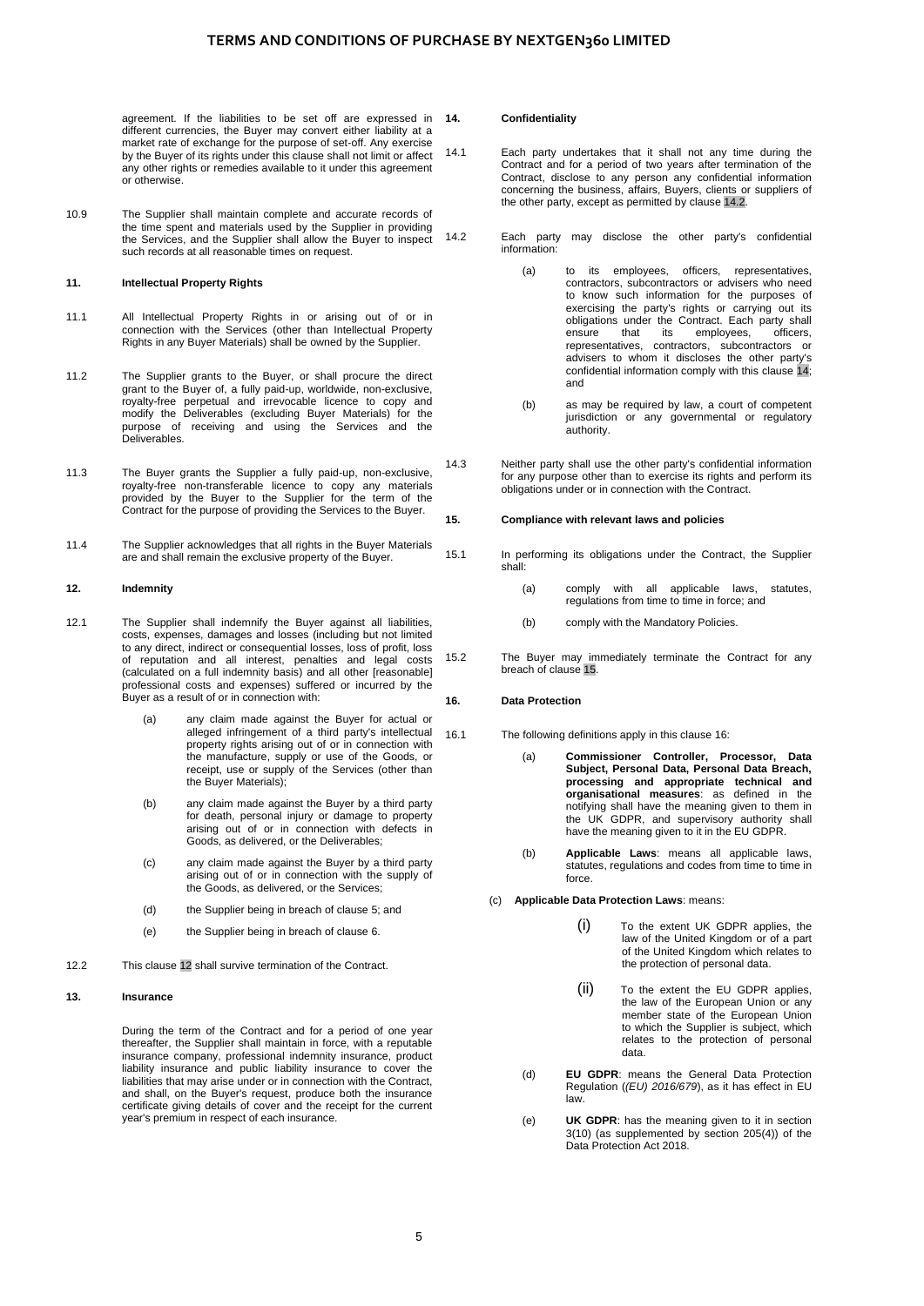agreement. If the liabilities to be set off are expressed in different currencies, the Buyer may convert either liability at a market rate of exchange for the purpose of set-off. Any exercise by the Buyer of its rights under this clause shall not limit or affect any other rights or remedies available to it under this agreement or otherwise.

10.9 The Supplier shall maintain complete and accurate records of the time spent and materials used by the Supplier in providing the Services, and the Supplier shall allow the Buyer to inspect such records at all reasonable times on request.

## **11. Intellectual Property Rights**

- 11.1 All Intellectual Property Rights in or arising out of or in connection with the Services (other than Intellectual Property Rights in any Buyer Materials) shall be owned by the Supplier.
- 11.2 The Supplier grants to the Buyer, or shall procure the direct grant to the Buyer of, a fully paid-up, worldwide, non-exclusive, royalty-free perpetual and irrevocable licence to copy and modify the Deliverables (excluding Buyer Materials) for the purpose of receiving and using the Services and the Deliverables.
- 11.3 The Buyer grants the Supplier a fully paid-up, non-exclusive, royalty-free non-transferable licence to copy any materials provided by the Buyer to the Supplier for the term of the Contract for the purpose of providing the Services to the Buyer.
- 11.4 The Supplier acknowledges that all rights in the Buyer Materials are and shall remain the exclusive property of the Buyer.

#### <span id="page-4-0"></span>**12. Indemnity**

- 12.1 The Supplier shall indemnify the Buyer against all liabilities, costs, expenses, damages and losses (including but not limited to any direct, indirect or consequential losses, loss of profit, loss of reputation and all interest, penalties and legal costs (calculated on a full indemnity basis) and all other [reasonable] professional costs and expenses) suffered or incurred by the Buyer as a result of or in connection with:
	- (a) any claim made against the Buyer for actual or alleged infringement of a third party's intellectual property rights arising out of or in connection with the manufacture, supply or use of the Goods, or receipt, use or supply of the Services (other than the Buyer Materials);
	- (b) any claim made against the Buyer by a third party for death, personal injury or damage to property arising out of or in connection with defects in Goods, as delivered, or the Deliverables;
	- (c) any claim made against the Buyer by a third party arising out of or in connection with the supply of the Goods, as delivered, or the Services;
	- (d) the Supplier being in breach of claus[e 5;](#page-1-0) and
	- (e) the Supplier being in breach of claus[e 6.](#page-2-2)
- 12.2 Thi[s clause 12](#page-4-0) shall survive termination of the Contract.

#### **13. Insurance**

During the term of the Contract and for a period of one year thereafter, the Supplier shall maintain in force, with a reputable insurance company, professional indemnity insurance, product liability insurance and public liability insurance to cover the liabilities that may arise under or in connection with the Contract, and shall, on the Buyer's request, produce both the insurance certificate giving details of cover and the receipt for the current year's premium in respect of each insurance.

#### <span id="page-4-2"></span>**14. Confidentiality**

14.1 Each party undertakes that it shall not any time during the Contract and for a period of two years after termination of the Contract, disclose to any person any confidential information concerning the business, affairs, Buyers, clients or suppliers of the other party, except as permitted b[y clause 14.2.](#page-4-1)

<span id="page-4-1"></span>14.2 Each party may disclose the other party's confidential information:

- (a) to its employees, officers, representatives, contractors, subcontractors or advisers who need to know such information for the purposes of exercising the party's rights or carrying out its obligations under the Contract. Each party shall<br>ensure that its employees, officers, ensure that its employees, officers, representatives, contractors, subcontractors or advisers to whom it discloses the other party's confidential information comply with this [clause 14;](#page-4-2)  and
- (b) as may be required by law, a court of competent jurisdiction or any governmental or regulatory authority.
- 14.3 Neither party shall use the other party's confidential information for any purpose other than to exercise its rights and perform its obligations under or in connection with the Contract.

#### <span id="page-4-3"></span>**15. Compliance with relevant laws and policies**

15.1 In performing its obligations under the Contract, the Supplier shall:

- (a) comply with all applicable laws, statutes, regulations from time to time in force; and
- (b) comply with the Mandatory Policies.
- 15.2 The Buyer may immediately terminate the Contract for any breach o[f clause 15.](#page-4-3)

## <span id="page-4-4"></span>**16. Data Protection**

16.1 The following definitions apply in this claus[e 16:](#page-4-4)

- (a) **Commissioner Controller, Processor, Data Subject, Personal Data, Personal Data Breach, processing and appropriate technical and organisational measures**: as defined in the notifying shall have the meaning given to them in the UK GDPR, and supervisory authority shall have the meaning given to it in the EU GDPR.
- (b) **Applicable Laws**: means all applicable laws, statutes, regulations and codes from time to time in force.
- (c) **Applicable Data Protection Laws**: means:
	- (i) To the extent UK GDPR applies, the law of the United Kingdom or of a part of the United Kingdom which relates to the protection of personal data.
	- (ii) To the extent the EU GDPR applies, the law of the European Union or any member state of the European Union to which the Supplier is subject, which relates to the protection of personal data.
	- (d) **EU GDPR**: means the General Data Protection Regulation (*(EU) 2016/679*), as it has effect in EU law.
	- (e) **UK GDPR**: has the meaning given to it in section 3(10) (as supplemented by section 205(4)) of the Data Protection Act 2018.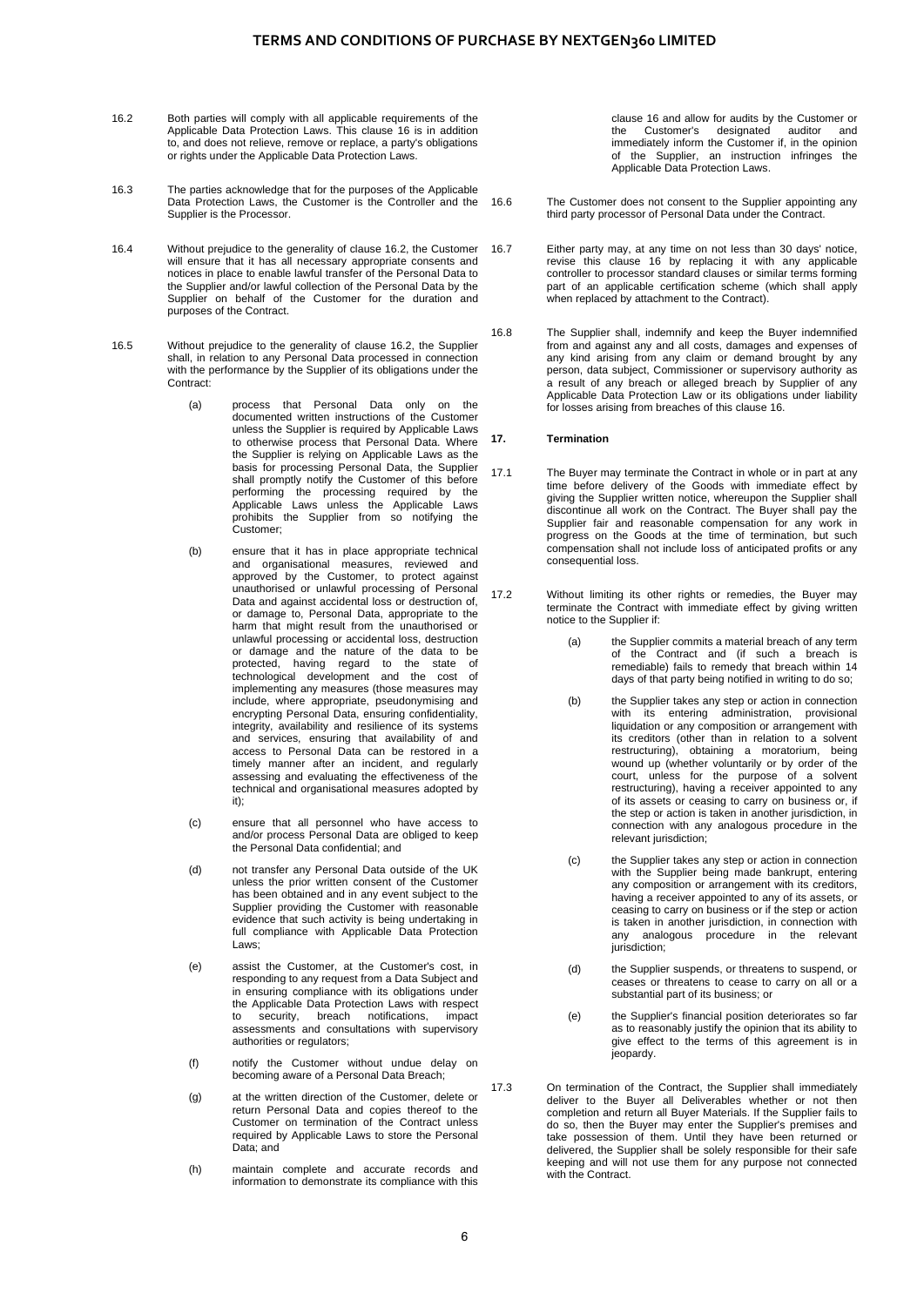- <span id="page-5-0"></span>16.2 Both parties will comply with all applicable requirements of the Applicable Data Protection Laws. This clause [16](#page-4-4) is in addition to, and does not relieve, remove or replace, a party's obligations or rights under the Applicable Data Protection Laws.
- 16.3 The parties acknowledge that for the purposes of the Applicable Data Protection Laws, the Customer is the Controller and the Supplier is the Processor.
- 16.4 Without prejudice to the generality of clause [16.2,](#page-5-0) the Customer will ensure that it has all necessary appropriate consents and notices in place to enable lawful transfer of the Personal Data to the Supplier and/or lawful collection of the Personal Data by the Supplier on behalf of the Customer for the duration and purposes of the Contract.
- 16.5 Without prejudice to the generality of clause [16.2,](#page-5-0) the Supplier shall, in relation to any Personal Data processed in connection with the performance by the Supplier of its obligations under the Contract:
	- (a) process that Personal Data only on the documented written instructions of the Customer unless the Supplier is required by Applicable Laws to otherwise process that Personal Data. Where the Supplier is relying on Applicable Laws as the basis for processing Personal Data, the Supplier shall promptly notify the Customer of this before performing the processing required by the Applicable Laws unless the Applicable Laws prohibits the Supplier from so notifying the Customer;
	- (b) ensure that it has in place appropriate technical and organisational measures, reviewed and approved by the Customer, to protect against unauthorised or unlawful processing of Personal Data and against accidental loss or destruction of, or damage to, Personal Data, appropriate to the harm that might result from the unauthorised or unlawful processing or accidental loss, destruction or damage and the nature of the data to be protected, having regard to the state of technological development and the cost of implementing any measures (those measures may include, where appropriate, pseudonymising and encrypting Personal Data, ensuring confidentiality, integrity, availability and resilience of its systems and services, ensuring that availability of and access to Personal Data can be restored in a timely manner after an incident, and regularly assessing and evaluating the effectiveness of the technical and organisational measures adopted by it);
	- (c) ensure that all personnel who have access to and/or process Personal Data are obliged to keep the Personal Data confidential; and
	- (d) not transfer any Personal Data outside of the UK unless the prior written consent of the Customer has been obtained and in any event subject to the Supplier providing the Customer with reasonable evidence that such activity is being undertaking in full compliance with Applicable Data Protection Laws;
	- (e) assist the Customer, at the Customer's cost, in responding to any request from a Data Subject and in ensuring compliance with its obligations under the Applicable Data Protection Laws with respect to security, breach notifications, impact assessments and consultations with supervisory authorities or regulators;
	- (f) notify the Customer without undue delay on becoming aware of a Personal Data Breach;
	- (g) at the written direction of the Customer, delete or return Personal Data and copies thereof to the Customer on termination of the Contract unless required by Applicable Laws to store the Personal Data; and
	- (h) maintain complete and accurate records and information to demonstrate its compliance with this

clause [16](#page-4-4) and allow for audits by the Customer or the Customer's designated auditor and immediately inform the Customer if, in the opinion of the Supplier, an instruction infringes the Applicable Data Protection Laws.

- 16.6 The Customer does not consent to the Supplier appointing any third party processor of Personal Data under the Contract.
- 16.7 Either party may, at any time on not less than 30 days' notice, revise this clause [16](#page-4-4) by replacing it with any applicable controller to processor standard clauses or similar terms forming part of an applicable certification scheme (which shall apply when replaced by attachment to the Contract).
- 16.8 The Supplier shall, indemnify and keep the Buyer indemnified from and against any and all costs, damages and expenses of any kind arising from any claim or demand brought by any person, data subject, Commissioner or supervisory authority as a result of any breach or alleged breach by Supplier of any Applicable Data Protection Law or its obligations under liability for losses arising from breaches of this claus[e 16.](#page-4-4)

#### **17. Termination**

- 17.1 The Buyer may terminate the Contract in whole or in part at any time before delivery of the Goods with immediate effect by giving the Supplier written notice, whereupon the Supplier shall discontinue all work on the Contract. The Buyer shall pay the Supplier fair and reasonable compensation for any work in progress on the Goods at the time of termination, but such compensation shall not include loss of anticipated profits or any consequential loss.
- 17.2 Without limiting its other rights or remedies, the Buyer may terminate the Contract with immediate effect by giving written notice to the Supplier if:
	- (a) the Supplier commits a material breach of any term of the Contract and (if such a breach is remediable) fails to remedy that breach within 14 days of that party being notified in writing to do so;
	- (b) the Supplier takes any step or action in connection with its entering administration, provisional liquidation or any composition or arrangement with its creditors (other than in relation to a solvent restructuring), obtaining a moratorium, being wound up (whether voluntarily or by order of the court, unless for the purpose of a solvent restructuring), having a receiver appointed to any of its assets or ceasing to carry on business or, if the step or action is taken in another jurisdiction, in connection with any analogous procedure in the relevant jurisdiction;
	- (c) the Supplier takes any step or action in connection with the Supplier being made bankrupt, entering any composition or arrangement with its creditors, having a receiver appointed to any of its assets, or ceasing to carry on business or if the step or action is taken in another jurisdiction, in connection with any analogous procedure in the relevant jurisdiction;
	- (d) the Supplier suspends, or threatens to suspend, or ceases or threatens to cease to carry on all or a substantial part of its business; or
	- (e) the Supplier's financial position deteriorates so far as to reasonably justify the opinion that its ability to give effect to the terms of this agreement is in jeopardy.
- 17.3 On termination of the Contract, the Supplier shall immediately deliver to the Buyer all Deliverables whether or not then completion and return all Buyer Materials. If the Supplier fails to do so, then the Buyer may enter the Supplier's premises and take possession of them. Until they have been returned or delivered, the Supplier shall be solely responsible for their safe keeping and will not use them for any purpose not connected with the Contract.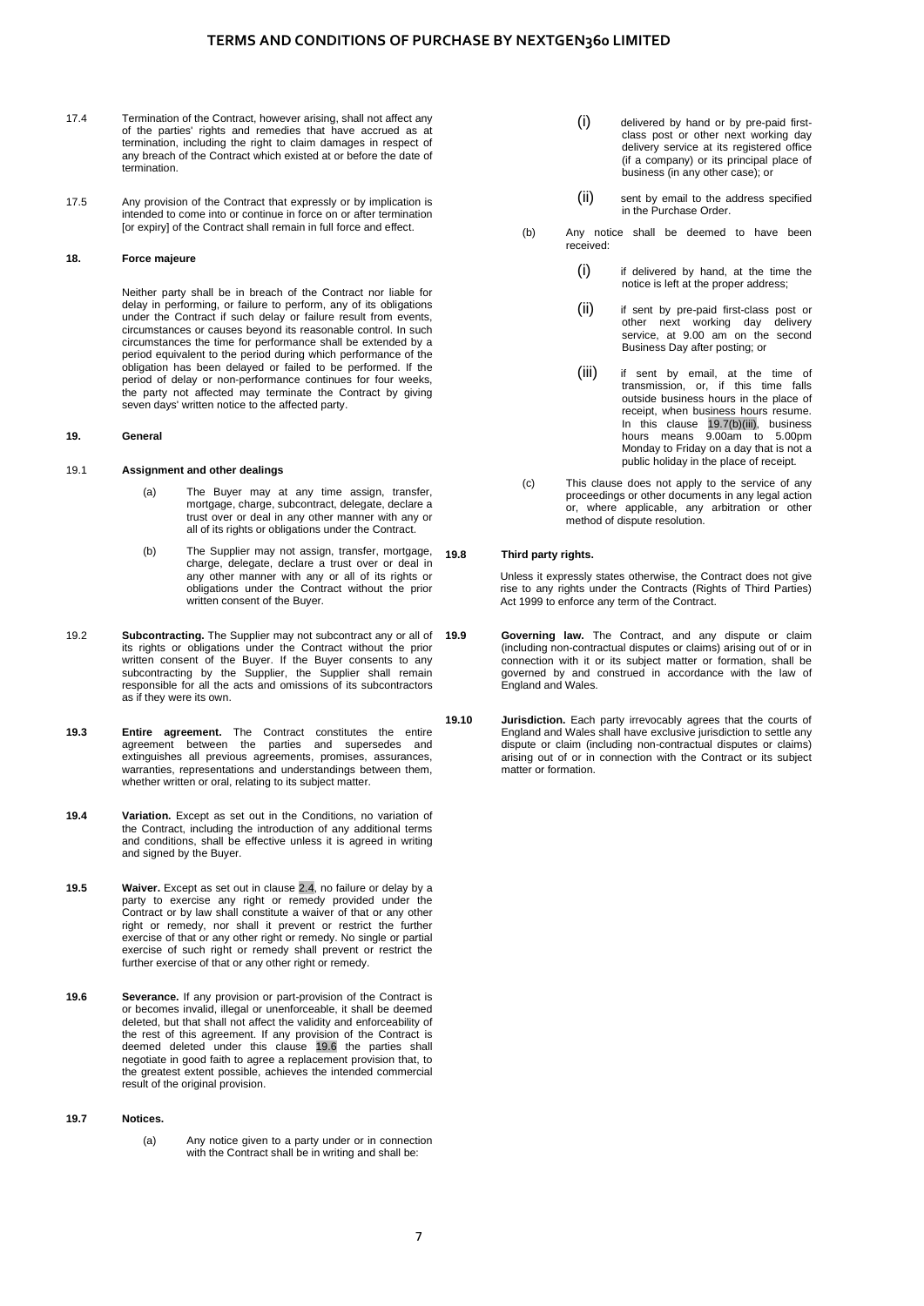- 17.4 Termination of the Contract, however arising, shall not affect any of the parties' rights and remedies that have accrued as at termination, including the right to claim damages in respect of any breach of the Contract which existed at or before the date of termination.
- 17.5 Any provision of the Contract that expressly or by implication is intended to come into or continue in force on or after termination [or expiry] of the Contract shall remain in full force and effect.

## **18. Force majeure**

Neither party shall be in breach of the Contract nor liable for delay in performing, or failure to perform, any of its obligations under the Contract if such delay or failure result from events, circumstances or causes beyond its reasonable control. In such circumstances the time for performance shall be extended by a period equivalent to the period during which performance of the obligation has been delayed or failed to be performed. If the period of delay or non-performance continues for four weeks, the party not affected may terminate the Contract by giving seven days' written notice to the affected party.

#### **19. General**

#### 19.1 **Assignment and other dealings**

- (a) The Buyer may at any time assign, transfer, mortgage, charge, subcontract, delegate, declare a trust over or deal in any other manner with any or all of its rights or obligations under the Contract.
- (b) The Supplier may not assign, transfer, mortgage, charge, delegate, declare a trust over or deal in any other manner with any or all of its rights or obligations under the Contract without the prior written consent of the Buyer.
- 19.2 **Subcontracting.** The Supplier may not subcontract any or all of its rights or obligations under the Contract without the prior written consent of the Buyer. If the Buyer consents to any subcontracting by the Supplier, the Supplier shall remain responsible for all the acts and omissions of its subcontractors as if they were its own.
- **19.3 Entire agreement.** The Contract constitutes the entire agreement between the parties and supersedes and extinguishes all previous agreements, promises, assurances, warranties, representations and understandings between them, whether written or oral, relating to its subject matter.
- <span id="page-6-0"></span>**19.4 Variation.** Except as set out in the Conditions, no variation of the Contract, including the introduction of any additional terms and conditions, shall be effective unless it is agreed in writing and signed by the Buyer.
- **19.5 Waiver.** Except as set out in [clause 2.4,](#page-0-1) no failure or delay by a party to exercise any right or remedy provided under the Contract or by law shall constitute a waiver of that or any other right or remedy, nor shall it prevent or restrict the further exercise of that or any other right or remedy. No single or partial exercise of such right or remedy shall prevent or restrict the further exercise of that or any other right or remedy.
- <span id="page-6-1"></span>**19.6 Severance.** If any provision or part-provision of the Contract is or becomes invalid, illegal or unenforceable, it shall be deemed deleted, but that shall not affect the validity and enforceability of the rest of this agreement. If any provision of the Contract is deemed deleted under this [clause 19.6](#page-6-1) the parties shall negotiate in good faith to agree a replacement provision that, to the greatest extent possible, achieves the intended commercial result of the original provision.

## **19.7 Notices.**

(a) Any notice given to a party under or in connection with the Contract shall be in writing and shall be:

- (i) delivered by hand or by pre-paid firstclass post or other next working day delivery service at its registered office (if a company) or its principal place of business (in any other case); or
- (ii) sent by email to the address specified in the Purchase Order.
- (b) Any notice shall be deemed to have been received:
	- (i) if delivered by hand, at the time the notice is left at the proper address;
	- (ii) if sent by pre-paid first-class post or other next working day delivery service, at 9.00 am on the second Business Day after posting; or
	- (iii) if sent by email, at the time of transmission, or, if this time falls outside business hours in the place of receipt, when business hours resume. In this [clause 19.7\(b\)\(iii\),](#page-6-2) business hours means 9.00am to 5.00pm Monday to Friday on a day that is not a public holiday in the place of receipt.
- <span id="page-6-2"></span>(c) This clause does not apply to the service of any proceedings or other documents in any legal action or, where applicable, any arbitration or other method of dispute resolution.

## **19.8 Third party rights.**

Unless it expressly states otherwise, the Contract does not give rise to any rights under the Contracts (Rights of Third Parties) Act 1999 to enforce any term of the Contract.

- **19.9 Governing law.** The Contract, and any dispute or claim (including non-contractual disputes or claims) arising out of or in connection with it or its subject matter or formation, shall be governed by and construed in accordance with the law of England and Wales.
- **19.10 Jurisdiction.** Each party irrevocably agrees that the courts of England and Wales shall have exclusive jurisdiction to settle any dispute or claim (including non-contractual disputes or claims) arising out of or in connection with the Contract or its subject matter or formation.